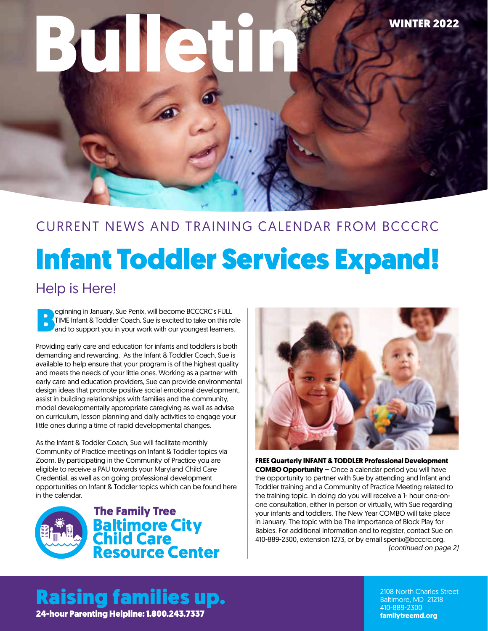# **Bulletin** WINTER 2022

## Infant Toddler Services Expand! CURRENT NEWS AND TRAINING CALENDAR FROM BCCCRC

#### Help is Here!

eginning in January, Sue Penix, will become BCCCRC's FULL<br>TIME Infant & Toddler Coach. Sue is excited to take on this read to support you in your work with our youngest learners TIME Infant & Toddler Coach. Sue is excited to take on this role and to support you in your work with our youngest learners.

Providing early care and education for infants and toddlers is both demanding and rewarding. As the Infant & Toddler Coach, Sue is available to help ensure that your program is of the highest quality and meets the needs of your little ones. Working as a partner with early care and education providers, Sue can provide environmental design ideas that promote positive social emotional development, assist in building relationships with families and the community, model developmentally appropriate caregiving as well as advise on curriculum, lesson planning and daily activities to engage your little ones during a time of rapid developmental changes.

As the Infant & Toddler Coach, Sue will facilitate monthly Community of Practice meetings on Infant & Toddler topics via Zoom. By participating in the Community of Practice you are eligible to receive a PAU towards your Maryland Child Care Credential, as well as on going professional development opportunities on Infant & Toddler topics which can be found here in the calendar.





*(continued on page 2)* **FREE Quarterly INFANT & TODDLER Professional Development COMBO Opportunity –** Once a calendar period you will have the opportunity to partner with Sue by attending and Infant and Toddler training and a Community of Practice Meeting related to the training topic. In doing do you will receive a 1- hour one-onone consultation, either in person or virtually, with Sue regarding your infants and toddlers. The New Year COMBO will take place in January. The topic with be The Importance of Block Play for Babies. For additional information and to register, contact Sue on 410-889-2300, extension 1273, or by email spenix@bcccrc.org.

Raising families up. 24-hour Parenting Helpline: 1.800.243.7337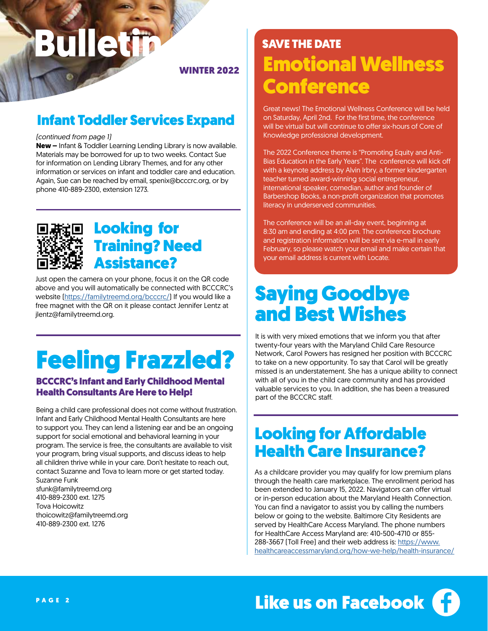# **Bulleti**

WINTER 2022

#### Infant Toddler Services Expand

#### *(continued from page 1)*

**New –** Infant & Toddler Learning Lending Library is now available. Materials may be borrowed for up to two weeks. Contact Sue for information on Lending Library Themes, and for any other information or services on infant and toddler care and education. Again, Sue can be reached by email, spenix@bcccrc.org, or by phone 410-889-2300, extension 1273.



### Looking for Training? Need Assistance?

Just open the camera on your phone, focus it on the QR code above and you will automatically be connected with BCCCRC's website ([https://familytreemd.org/bcccrc/\)](https://familytreemd.org/bcccrc/) If you would like a free magnet with the QR on it please contact Jennifer Lentz at jlentz@familytreemd.org.

## Feeling Frazzled?

#### BCCCRC's Infant and Early Childhood Mental Health Consultants Are Here to Help!

Being a child care professional does not come without frustration. Infant and Early Childhood Mental Health Consultants are here to support you. They can lend a listening ear and be an ongoing support for social emotional and behavioral learning in your program. The service is free, the consultants are available to visit your program, bring visual supports, and discuss ideas to help all children thrive while in your care. Don't hesitate to reach out, contact Suzanne and Tova to learn more or get started today. Suzanne Funk

sfunk@familytreemd.org 410-889-2300 ext. 1275 Tova Hoicowitz thoicowitz@familytreemd.org 410-889-2300 ext. 1276

## SAVE THE DATE Emotional Wellness **Conference**

Great news! The Emotional Wellness Conference will be held on Saturday, April 2nd. For the first time, the conference will be virtual but will continue to offer six-hours of Core of Knowledge professional development.

The 2022 Conference theme is "Promoting Equity and Anti-Bias Education in the Early Years". The conference will kick off with a keynote address by Alvin Irbry, a former kindergarten teacher turned award-winning social entrepreneur, international speaker, comedian, author and founder of Barbershop Books, a non-profit organization that promotes literacy in underserved communities.

The conference will be an all-day event, beginning at 8:30 am and ending at 4:00 pm. The conference brochure and registration information will be sent via e-mail in early February, so please watch your email and make certain that your email address is current with Locate.

## Saying Goodbye and Best Wishes

It is with very mixed emotions that we inform you that after twenty-four years with the Maryland Child Care Resource Network, Carol Powers has resigned her position with BCCCRC to take on a new opportunity. To say that Carol will be greatly missed is an understatement. She has a unique ability to connect with all of you in the child care community and has provided valuable services to you. In addition, she has been a treasured part of the BCCCRC staff.

## Looking for Affordable Health Care Insurance?

As a childcare provider you may qualify for low premium plans through the health care marketplace. The enrollment period has been extended to January 15, 2022. Navigators can offer virtual or in-person education about the Maryland Health Connection. You can find a navigator to assist you by calling the numbers below or going to the website. Baltimore City Residents are served by HealthCare Access Maryland. The phone numbers for HealthCare Access Maryland are: 410-500-4710 or 855- 288-3667 (Toll Free) and their web address is: [https://www.](https://www.healthcareaccessmaryland.org/how-we-help/health-insurance/) [healthcareaccessmaryland.org/how-we-help/health-insurance/](https://www.healthcareaccessmaryland.org/how-we-help/health-insurance/)

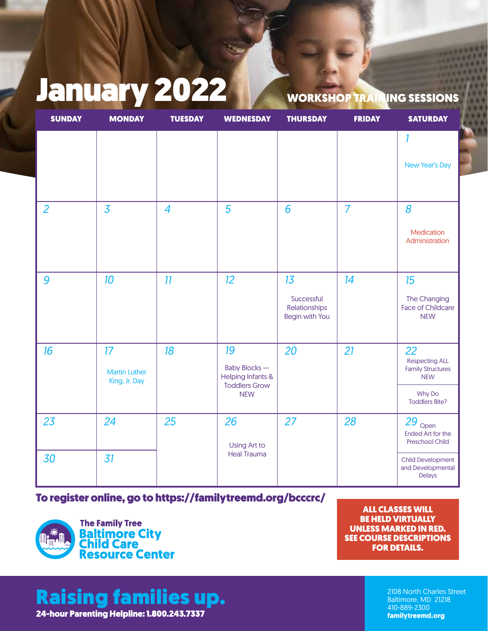## January 2022 WORKSHOP TRAINING SESSIONS

| <b>SUNDAY</b>  | <b>MONDAY</b>                               | <b>TUESDAY</b>           | <b>WEDNESDAY</b>                                                                                | <b>THURSDAY</b>                                            | <b>FRIDAY</b>  | <b>SATURDAY</b>                                                                                          |
|----------------|---------------------------------------------|--------------------------|-------------------------------------------------------------------------------------------------|------------------------------------------------------------|----------------|----------------------------------------------------------------------------------------------------------|
|                |                                             |                          |                                                                                                 |                                                            |                | 1<br>New Year's Day                                                                                      |
| $\overline{2}$ | $\overline{3}$                              | $\overline{\mathcal{A}}$ | 5                                                                                               | 6                                                          | $\overline{7}$ | 8<br>Medication<br>Administration                                                                        |
| 9              | 10                                          | 11                       | 12                                                                                              | 13<br>Successful<br>Relationships<br><b>Begin with You</b> | 14             | 15<br>The Changing<br><b>Face of Childcare</b><br><b>NEW</b>                                             |
| 16             | 17<br><b>Martin Luther</b><br>King, Jr. Day | 18                       | 19<br><b>Baby Blocks-</b><br><b>Helping Infants &amp;</b><br><b>Toddlers Grow</b><br><b>NEW</b> | 20                                                         | 21             | 22<br><b>Respecting ALL</b><br><b>Family Structures</b><br><b>NEW</b><br>Why Do<br><b>Toddlers Bite?</b> |
| 23             | 24                                          | 25                       | 26<br>Using Art to                                                                              | 27                                                         | 28             | $29_{\text{Open}}$<br><b>Ended Art for the</b><br>Preschool Child                                        |
| 30             | 31                                          |                          | <b>Heal Trauma</b>                                                                              |                                                            |                | <b>Child Development</b><br>and Developmental<br>Delays                                                  |

[To register online, go to https://familytreemd.org/bcccrc/](http://training.bcccrc.org/CVSFListView.aspx)



ALL CLASSES WILL BE HELD VIRTUALLY UNLESS MARKED IN RED. SEE COURSE DESCRIPTIONS FOR DETAILS.

## Raising families up.

24-hour Parenting Helpline: 1.800.243.7337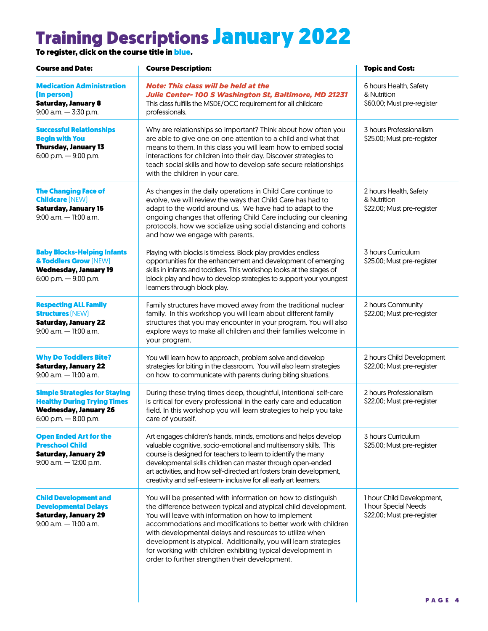## Training Descriptions January 2022

To register, click on the course title in <mark>blue.</mark>

| <b>Course and Date:</b>                                                                                                             | <b>Course Description:</b>                                                                                                                                                                                                                                                                                                                                                                                                                                                                             | <b>Topic and Cost:</b>                                                          |  |
|-------------------------------------------------------------------------------------------------------------------------------------|--------------------------------------------------------------------------------------------------------------------------------------------------------------------------------------------------------------------------------------------------------------------------------------------------------------------------------------------------------------------------------------------------------------------------------------------------------------------------------------------------------|---------------------------------------------------------------------------------|--|
| <b>Medication Administration</b><br>(In person)<br><b>Saturday, January 8</b><br>9:00 a.m. - 3:30 p.m.                              | <b>Note: This class will be held at the</b><br>Julie Center- 100 S Washington St, Baltimore, MD 21231<br>This class fulfills the MSDE/OCC requirement for all childcare<br>professionals.                                                                                                                                                                                                                                                                                                              | 6 hours Health, Safety<br>& Nutrition<br>\$60.00; Must pre-register             |  |
| <b>Successful Relationships</b><br><b>Begin with You</b><br><b>Thursday, January 13</b><br>6:00 p.m. $-$ 9:00 p.m.                  | Why are relationships so important? Think about how often you<br>are able to give one on one attention to a child and what that<br>means to them. In this class you will learn how to embed social<br>interactions for children into their day. Discover strategies to<br>teach social skills and how to develop safe secure relationships<br>with the children in your care.                                                                                                                          | 3 hours Professionalism<br>\$25.00; Must pre-register                           |  |
| <b>The Changing Face of</b><br><b>Childcare (NEW)</b><br><b>Saturday, January 15</b><br>$9:00$ a.m. $-11:00$ a.m.                   | As changes in the daily operations in Child Care continue to<br>evolve, we will review the ways that Child Care has had to<br>adapt to the world around us. We have had to adapt to the<br>ongoing changes that offering Child Care including our cleaning<br>protocols, how we socialize using social distancing and cohorts<br>and how we engage with parents.                                                                                                                                       | 2 hours Health, Safety<br>& Nutrition<br>\$22.00; Must pre-register             |  |
| <b>Baby Blocks-Helping Infants</b><br>& Toddlers Grow (NEW)<br><b>Wednesday, January 19</b><br>6:00 p.m. $-$ 9:00 p.m.              | Playing with blocks is timeless. Block play provides endless<br>opportunities for the enhancement and development of emerging<br>skills in infants and toddlers. This workshop looks at the stages of<br>block play and how to develop strategies to support your youngest<br>learners through block play.                                                                                                                                                                                             | 3 hours Curriculum<br>\$25.00; Must pre-register                                |  |
| <b>Respecting ALL Family</b><br><b>Structures (NEW)</b><br><b>Saturday, January 22</b><br>$9:00$ a.m. $-11:00$ a.m.                 | Family structures have moved away from the traditional nuclear<br>family. In this workshop you will learn about different family<br>structures that you may encounter in your program. You will also<br>explore ways to make all children and their families welcome in<br>your program.                                                                                                                                                                                                               | 2 hours Community<br>\$22.00; Must pre-register                                 |  |
| <b>Why Do Toddlers Bite?</b><br><b>Saturday, January 22</b><br>$9:00$ a.m. $-11:00$ a.m.                                            | You will learn how to approach, problem solve and develop<br>strategies for biting in the classroom. You will also learn strategies<br>on how to communicate with parents during biting situations.                                                                                                                                                                                                                                                                                                    | 2 hours Child Development<br>\$22.00; Must pre-register                         |  |
| <b>Simple Strategies for Staying</b><br><b>Healthy During Trying Times</b><br><b>Wednesday, January 26</b><br>6:00 p.m. - 8:00 p.m. | During these trying times deep, thoughtful, intentional self-care<br>is critical for every professional in the early care and education<br>field. In this workshop you will learn strategies to help you take<br>care of yourself.                                                                                                                                                                                                                                                                     | 2 hours Professionalism<br>\$22.00; Must pre-register                           |  |
| <b>Open Ended Art for the</b><br><b>Preschool Child</b><br><b>Saturday, January 29</b><br>9:00 a.m. - 12:00 p.m.                    | Art engages children's hands, minds, emotions and helps develop<br>valuable cognitive, socio-emotional and multisensory skills. This<br>course is designed for teachers to learn to identify the many<br>developmental skills children can master through open-ended<br>art activities, and how self-directed art fosters brain development,<br>creativity and self-esteem- inclusive for all early art learners.                                                                                      | 3 hours Curriculum<br>\$25.00; Must pre-register                                |  |
| <b>Child Development and</b><br><b>Developmental Delays</b><br><b>Saturday, January 29</b><br>$9:00$ a.m. $-11:00$ a.m.             | You will be presented with information on how to distinguish<br>the difference between typical and atypical child development.<br>You will leave with information on how to implement<br>accommodations and modifications to better work with children<br>with developmental delays and resources to utilize when<br>development is atypical. Additionally, you will learn strategies<br>for working with children exhibiting typical development in<br>order to further strengthen their development. | 1 hour Child Development,<br>1 hour Special Needs<br>\$22.00; Must pre-register |  |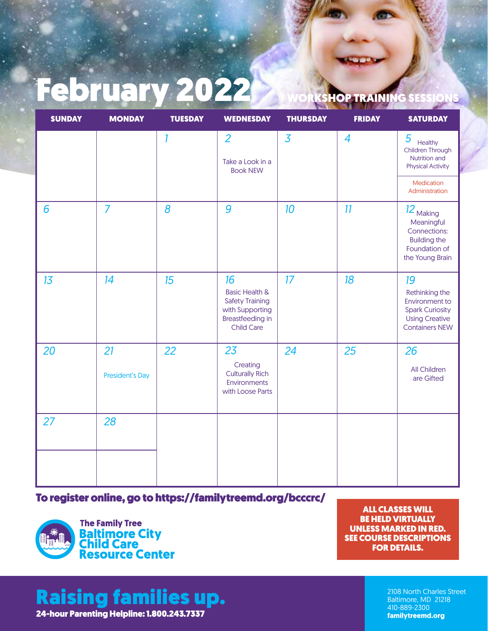## February 2022 WORKSHOP TRAINING SES

| <b>SUNDAY</b> | <b>MONDAY</b>                | <b>TUESDAY</b> | <b>WEDNESDAY</b>                                                                                                             | <b>THURSDAY</b> | <b>FRIDAY</b> | <b>SATURDAY</b>                                                                                                           |
|---------------|------------------------------|----------------|------------------------------------------------------------------------------------------------------------------------------|-----------------|---------------|---------------------------------------------------------------------------------------------------------------------------|
|               |                              | 1              | $\overline{2}$<br>Take a Look in a<br><b>Book NEW</b>                                                                        | $\overline{3}$  | 4             | 5<br>Healthy<br>Children Through<br>Nutrition and<br><b>Physical Activity</b>                                             |
|               |                              |                |                                                                                                                              |                 |               | Medication<br>Administration                                                                                              |
| 6             | $\overline{7}$               | 8              | 9                                                                                                                            | 10              | 11            | 12 <sub>Making</sub><br>Meaningful<br>Connections:<br><b>Building the</b><br>Foundation of<br>the Young Brain             |
| 13            | 14                           | 15             | 16<br><b>Basic Health &amp;</b><br><b>Safety Training</b><br>with Supporting<br><b>Breastfeeding in</b><br><b>Child Care</b> | 17              | 18            | 19<br>Rethinking the<br><b>Environment to</b><br><b>Spark Curiosity</b><br><b>Using Creative</b><br><b>Containers NEW</b> |
| 20            | 21<br><b>President's Day</b> | 22             | 23<br>Creating<br><b>Culturally Rich</b><br>Environments<br>with Loose Parts                                                 | 24              | 25            | 26<br>All Children<br>are Gifted                                                                                          |
| 27            | 28                           |                |                                                                                                                              |                 |               |                                                                                                                           |
|               |                              |                |                                                                                                                              |                 |               |                                                                                                                           |

#### [To register online, go to https://familytreemd.org/bcccrc/](http://training.bcccrc.org/CVSFListView.aspx)



ALL CLASSES WILL BE HELD VIRTUALLY UNLESS MARKED IN RED. SEE COURSE DESCRIPTIONS FOR DETAILS.

## Raising families up.

24-hour Parenting Helpline: 1.800.243.7337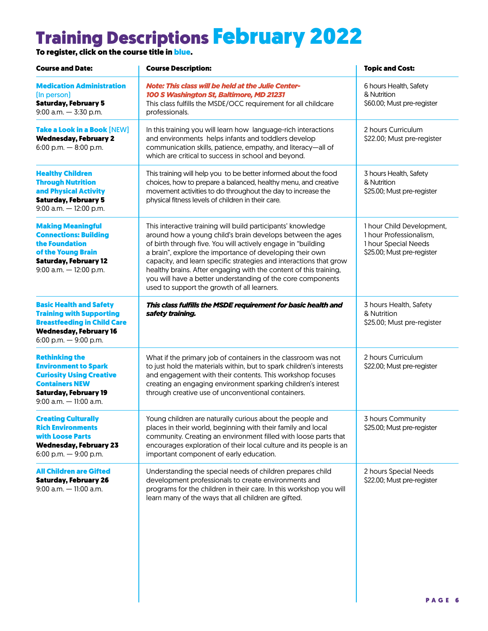## Training Descriptions February 2022

To register, click on the course title in <mark>blue.</mark>

| <b>Course and Date:</b>                                                                                                                                                       | <b>Course Description:</b>                                                                                                                                                                                                                                                                                                                                                                                                                                                                                      | <b>Topic and Cost:</b>                                                                                     |
|-------------------------------------------------------------------------------------------------------------------------------------------------------------------------------|-----------------------------------------------------------------------------------------------------------------------------------------------------------------------------------------------------------------------------------------------------------------------------------------------------------------------------------------------------------------------------------------------------------------------------------------------------------------------------------------------------------------|------------------------------------------------------------------------------------------------------------|
| <b>Medication Administration</b><br>(In person)<br><b>Saturday, February 5</b><br>$9:00$ a.m. $-3:30$ p.m.                                                                    | <b>Note: This class will be held at the Julie Center-</b><br>100 S Washington St, Baltimore, MD 21231<br>This class fulfills the MSDE/OCC requirement for all childcare<br>professionals.                                                                                                                                                                                                                                                                                                                       | 6 hours Health, Safety<br>& Nutrition<br>\$60.00; Must pre-register                                        |
| Take a Look in a Book [NEW]<br><b>Wednesday, February 2</b><br>6:00 p.m. $-$ 8:00 p.m.                                                                                        | In this training you will learn how language-rich interactions<br>and environments helps infants and toddlers develop<br>communication skills, patience, empathy, and literacy-all of<br>which are critical to success in school and beyond.                                                                                                                                                                                                                                                                    | 2 hours Curriculum<br>\$22.00; Must pre-register                                                           |
| <b>Healthy Children</b><br><b>Through Nutrition</b><br>and Physical Activity<br><b>Saturday, February 5</b><br>$9:00$ a.m. $-12:00$ p.m.                                      | This training will help you to be better informed about the food<br>choices, how to prepare a balanced, healthy menu, and creative<br>movement activities to do throughout the day to increase the<br>physical fitness levels of children in their care.                                                                                                                                                                                                                                                        | 3 hours Health, Safety<br>& Nutrition<br>\$25.00; Must pre-register                                        |
| <b>Making Meaningful</b><br><b>Connections: Building</b><br>the Foundation<br>of the Young Brain<br><b>Saturday, February 12</b><br>$9:00$ a.m. $-12:00$ p.m.                 | This interactive training will build participants' knowledge<br>around how a young child's brain develops between the ages<br>of birth through five. You will actively engage in "building<br>a brain", explore the importance of developing their own<br>capacity, and learn specific strategies and interactions that grow<br>healthy brains. After engaging with the content of this training,<br>you will have a better understanding of the core components<br>used to support the growth of all learners. | 1 hour Child Development,<br>1 hour Professionalism,<br>1 hour Special Needs<br>\$25.00; Must pre-register |
| <b>Basic Health and Safety</b><br><b>Training with Supporting</b><br><b>Breastfeeding in Child Care</b><br><b>Wednesday, February 16</b><br>6:00 p.m. $-$ 9:00 p.m.           | This class fulfills the MSDE requirement for basic health and<br>safety training.                                                                                                                                                                                                                                                                                                                                                                                                                               | 3 hours Health, Safety<br>& Nutrition<br>\$25.00; Must pre-register                                        |
| <b>Rethinking the</b><br><b>Environment to Spark</b><br><b>Curiosity Using Creative</b><br><b>Containers NEW</b><br><b>Saturday, February 19</b><br>$9:00$ a.m. $-11:00$ a.m. | What if the primary job of containers in the classroom was not<br>to just hold the materials within, but to spark children's interests<br>and engagement with their contents. This workshop focuses<br>creating an engaging environment sparking children's interest<br>through creative use of unconventional containers.                                                                                                                                                                                      | 2 hours Curriculum<br>\$22.00; Must pre-register                                                           |
| <b>Creating Culturally</b><br><b>Rich Environments</b><br>with Loose Parts<br><b>Wednesday, February 23</b><br>6:00 p.m. $-$ 9:00 p.m.                                        | Young children are naturally curious about the people and<br>places in their world, beginning with their family and local<br>community. Creating an environment filled with loose parts that<br>encourages exploration of their local culture and its people is an<br>important component of early education.                                                                                                                                                                                                   | 3 hours Community<br>\$25.00; Must pre-register                                                            |
| <b>All Children are Gifted</b><br><b>Saturday, February 26</b><br>$9:00$ a.m. $-11:00$ a.m.                                                                                   | Understanding the special needs of children prepares child<br>development professionals to create environments and<br>programs for the children in their care. In this workshop you will<br>learn many of the ways that all children are gifted.                                                                                                                                                                                                                                                                | 2 hours Special Needs<br>\$22.00; Must pre-register                                                        |
|                                                                                                                                                                               |                                                                                                                                                                                                                                                                                                                                                                                                                                                                                                                 | PAGF 6                                                                                                     |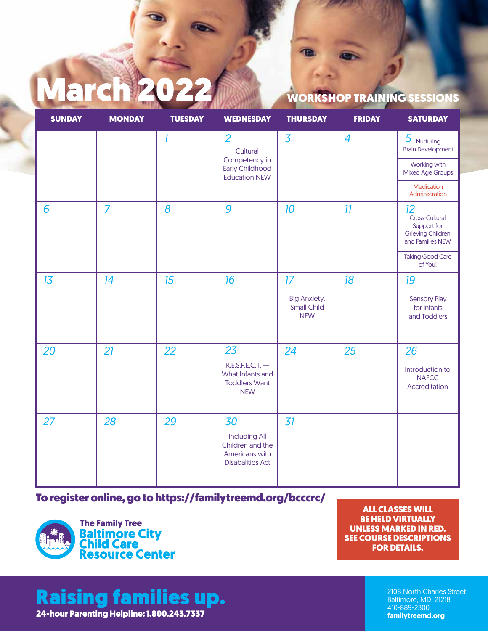# March 2022 WORKSHOP TRAINING SESSIONS

| <b>SUNDAY</b> | <b>MONDAY</b>  | <b>TUESDAY</b> | <b>WEDNESDAY</b>                                                                              | <b>THURSDAY</b>                                         | <b>FRIDAY</b> | <b>SATURDAY</b>                                                                     |
|---------------|----------------|----------------|-----------------------------------------------------------------------------------------------|---------------------------------------------------------|---------------|-------------------------------------------------------------------------------------|
|               |                | 1              | $\overline{2}$<br>Cultural<br>Competency in<br><b>Early Childhood</b><br><b>Education NEW</b> | $\overline{3}$                                          | 4             | $5$ Nurturing<br><b>Brain Development</b>                                           |
|               |                |                |                                                                                               |                                                         |               | Working with<br><b>Mixed Age Groups</b>                                             |
|               |                |                |                                                                                               |                                                         |               | Medication<br>Administration                                                        |
| 6             | $\overline{7}$ | 8              | 9                                                                                             | 10                                                      | 11            | 12<br>Cross-Cultural<br>Support for<br><b>Grieving Children</b><br>and Families NEW |
|               |                |                |                                                                                               |                                                         |               | <b>Taking Good Care</b><br>of You!                                                  |
| 13            | 14             | 15             | 16                                                                                            | 17                                                      | 18            | 19                                                                                  |
|               |                |                |                                                                                               | <b>Big Anxiety,</b><br><b>Small Child</b><br><b>NEW</b> |               | <b>Sensory Play</b><br>for Infants<br>and Toddlers                                  |
| 20            | 21             | 22             | 23<br>$R.E.S.P.E.C.T.$ -<br>What Infants and<br><b>Toddlers Want</b><br><b>NEW</b>            | 24                                                      | 25            | 26<br>Introduction to<br><b>NAFCC</b><br>Accreditation                              |
| 27            | 28             | 29             | 30<br><b>Including All</b><br>Children and the<br>Americans with<br><b>Disabalities Act</b>   | 31                                                      |               |                                                                                     |

#### [To register online, go to https://familytreemd.org/bcccrc/](http://training.bcccrc.org/CVSFListView.aspx)



ALL CLASSES WILL BE HELD VIRTUALLY UNLESS MARKED IN RED. SEE COURSE DESCRIPTIONS FOR DETAILS.

## Raising families up.

24-hour Parenting Helpline: 1.800.243.7337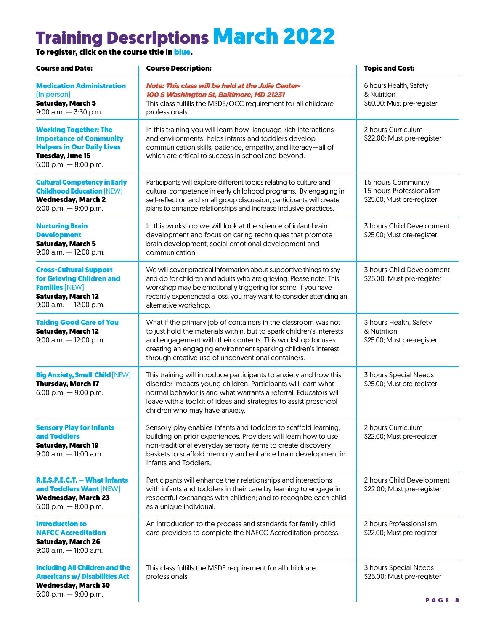## Training Descriptions March 2022

To register, click on the course title in <mark>blue.</mark>

| <b>Course and Date:</b>                                                                                                                                   | <b>Course Description:</b>                                                                                                                                                                                                                                                                                                 | <b>Topic and Cost:</b>                                                          |  |
|-----------------------------------------------------------------------------------------------------------------------------------------------------------|----------------------------------------------------------------------------------------------------------------------------------------------------------------------------------------------------------------------------------------------------------------------------------------------------------------------------|---------------------------------------------------------------------------------|--|
| <b>Medication Administration</b><br>(In person)<br><b>Saturday, March 5</b><br>$9:00$ a.m. $-3:30$ p.m.                                                   | <b>Note: This class will be held at the Julie Center-</b><br>100 S Washington St, Baltimore, MD 21231<br>This class fulfills the MSDE/OCC requirement for all childcare<br>professionals.                                                                                                                                  | 6 hours Health, Safety<br>& Nutrition<br>\$60.00; Must pre-register             |  |
| <b>Working Together: The</b><br><b>Importance of Community</b><br><b>Helpers in Our Daily Lives</b><br><b>Tuesday, June 15</b><br>6:00 p.m. $-$ 8:00 p.m. | In this training you will learn how language-rich interactions<br>and environments helps infants and toddlers develop<br>communication skills, patience, empathy, and literacy-all of<br>which are critical to success in school and beyond.                                                                               | 2 hours Curriculum<br>\$22.00; Must pre-register                                |  |
| <b>Cultural Competency in Early</b><br><b>Childhood Education [NEW]</b><br><b>Wednesday, March 2</b><br>6:00 p.m. $-$ 9:00 p.m.                           | Participants will explore different topics relating to culture and<br>cultural competence in early childhood programs. By engaging in<br>self-reflection and small group discussion, participants will create<br>plans to enhance relationships and increase inclusive practices.                                          | 1.5 hours Community,<br>1.5 hours Professionalism<br>\$25.00; Must pre-register |  |
| <b>Nurturing Brain</b><br><b>Development</b><br><b>Saturday, March 5</b><br>$9:00$ a.m. $-12:00$ p.m.                                                     | In this workshop we will look at the science of infant brain<br>development and focus on caring techniques that promote<br>brain development, social emotional development and<br>communication.                                                                                                                           | 3 hours Child Development<br>\$25.00; Must pre-register                         |  |
| <b>Cross-Cultural Support</b><br>for Grieving Children and<br><b>Families [NEW]</b><br><b>Saturday, March 12</b><br>$9:00$ a.m. $-12:00$ p.m.             | We will cover practical information about supportive things to say<br>and do for children and adults who are grieving. Please note: This<br>workshop may be emotionally triggering for some. If you have<br>recently experienced a loss, you may want to consider attending an<br>alternative workshop.                    | 3 hours Child Development<br>\$25.00; Must pre-register                         |  |
| <b>Taking Good Care of You</b><br><b>Saturday, March 12</b><br>$9:00$ a.m. $-12:00$ p.m.                                                                  | What if the primary job of containers in the classroom was not<br>to just hold the materials within, but to spark children's interests<br>and engagement with their contents. This workshop focuses<br>creating an engaging environment sparking children's interest<br>through creative use of unconventional containers. | 3 hours Health, Safety<br>& Nutrition<br>\$25.00; Must pre-register             |  |
| <b>Big Anxiety, Small Child [NEW]</b><br><b>Thursday, March 17</b><br>6:00 p.m. $-$ 9:00 p.m.                                                             | This training will introduce participants to anxiety and how this<br>disorder impacts young children. Participants will learn what<br>normal behavior is and what warrants a referral. Educators will<br>leave with a toolkit of ideas and strategies to assist preschool<br>children who may have anxiety.                | 3 hours Special Needs<br>\$25.00; Must pre-register                             |  |
| <b>Sensory Play for Infants</b><br>and Toddlers<br><b>Saturday, March 19</b><br>$9:00$ a.m. $-11:00$ a.m.                                                 | Sensory play enables infants and toddlers to scaffold learning,<br>building on prior experiences. Providers will learn how to use<br>non-traditional everyday sensory items to create discovery<br>baskets to scaffold memory and enhance brain development in<br>Infants and Toddlers.                                    | 2 hours Curriculum<br>\$22.00; Must pre-register                                |  |
| R.E.S.P.E.C.T. - What Infants<br>and Toddlers Want [NEW]<br><b>Wednesday, March 23</b><br>6:00 p.m. $-8:00$ p.m.                                          | Participants will enhance their relationships and interactions<br>with infants and toddlers in their care by learning to engage in<br>respectful exchanges with children; and to recognize each child<br>as a unique individual.                                                                                           | 2 hours Child Development<br>\$22.00; Must pre-register                         |  |
| <b>Introduction to</b><br><b>NAFCC Accreditation</b><br><b>Saturday, March 26</b><br>$9:00$ a.m. $-11:00$ a.m.                                            | An introduction to the process and standards for family child<br>care providers to complete the NAFCC Accreditation process.                                                                                                                                                                                               | 2 hours Professionalism<br>\$22.00; Must pre-register                           |  |
| <b>Including All Children and the</b><br><b>Americans w/ Disabilities Act</b><br><b>Wednesday, March 30</b><br>6:00 p.m. - 9:00 p.m.                      | This class fulfills the MSDE requirement for all childcare<br>professionals.                                                                                                                                                                                                                                               | 3 hours Special Needs<br>\$25.00; Must pre-register<br>PAGE 8                   |  |